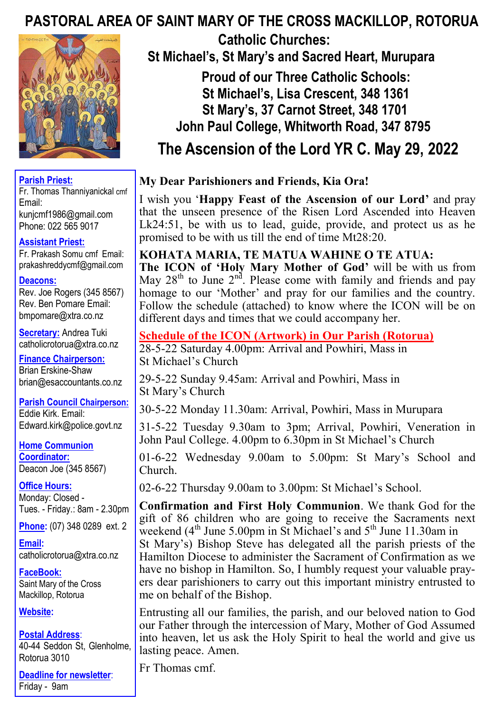# **PASTORAL AREA OF SAINT MARY OF THE CROSS MACKILLOP, ROTORUA**



#### **Parish Priest:**

Fr. Thomas Thanniyanickal cmf Email: kunjcmf1986@gmail.com Phone: 022 565 9017

#### **Assistant Priest:**

Fr. Prakash Somu cmf Email: prakashreddycmf@gmail.com

#### **Deacons:**

Rev. Joe Rogers (345 8567) Rev. Ben Pomare Email: bmpomare@xtra.co.nz

**Secretary:** Andrea Tuki catholicrotorua@xtra.co.nz

**Finance Chairperson:** Brian Erskine-Shaw brian@esaccountants.co.nz

**Parish Council Chairperson:** Eddie Kirk. Email: Edward.kirk@police.govt.nz

**Home Communion Coordinator:** Deacon Joe (345 8567)

**Office Hours:**  Monday: Closed - Tues. - Friday.: 8am - 2.30pm

**Phone:** (07) 348 0289 ext. 2

**Email:**  catholicrotorua@xtra.co.nz

**FaceBook:** Saint Mary of the Cross Mackillop, Rotorua

#### **Website:**

**Postal Address**: 40-44 Seddon St, Glenholme, Rotorua 3010

**Deadline for newsletter**: Friday - 9am

 **Catholic Churches: St Michael's, St Mary's and Sacred Heart, Murupara** 

 **Proud of our Three Catholic Schools: St Michael's, Lisa Crescent, 348 1361 St Mary's, 37 Carnot Street, 348 1701 John Paul College, Whitworth Road, 347 8795**

 **The Ascension of the Lord YR C. May 29, 2022**

## **My Dear Parishioners and Friends, Kia Ora!**

I wish you '**Happy Feast of the Ascension of our Lord'** and pray that the unseen presence of the Risen Lord Ascended into Heaven Lk24:51, be with us to lead, guide, provide, and protect us as he promised to be with us till the end of time Mt28:20.

## **KOHATA MARIA, TE MATUA WAHINE O TE ATUA:**

**The ICON of 'Holy Mary Mother of God'** will be with us from May  $28<sup>th</sup>$  to June  $2<sup>nd</sup>$ . Please come with family and friends and pay homage to our 'Mother' and pray for our families and the country. Follow the schedule (attached) to know where the ICON will be on different days and times that we could accompany her.

### **Schedule of the ICON (Artwork) in Our Parish (Rotorua)**

28-5-22 Saturday 4.00pm: Arrival and Powhiri, Mass in St Michael's Church

29-5-22 Sunday 9.45am: Arrival and Powhiri, Mass in St Mary's Church

30-5-22 Monday 11.30am: Arrival, Powhiri, Mass in Murupara

31-5-22 Tuesday 9.30am to 3pm; Arrival, Powhiri, Veneration in John Paul College. 4.00pm to 6.30pm in St Michael's Church

01-6-22 Wednesday 9.00am to 5.00pm: St Mary's School and Church.

02-6-22 Thursday 9.00am to 3.00pm: St Michael's School.

**Confirmation and First Holy Communion**. We thank God for the gift of 86 children who are going to receive the Sacraments next weekend ( $4<sup>th</sup>$  June 5.00pm in St Michael's and  $5<sup>th</sup>$  June 11.30am in St Mary's) Bishop Steve has delegated all the parish priests of the Hamilton Diocese to administer the Sacrament of Confirmation as we have no bishop in Hamilton. So, I humbly request your valuable prayers dear parishioners to carry out this important ministry entrusted to me on behalf of the Bishop.

Entrusting all our families, the parish, and our beloved nation to God our Father through the intercession of Mary, Mother of God Assumed into heaven, let us ask the Holy Spirit to heal the world and give us lasting peace. Amen.

Fr Thomas cmf.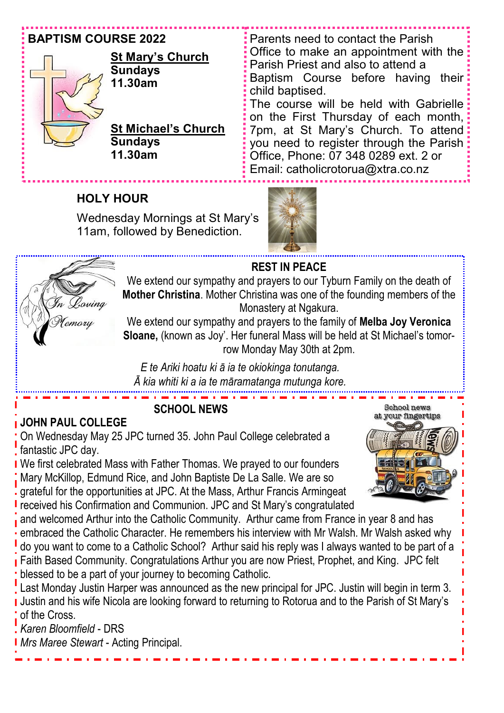## **BAPTISM COURSE 2022**



## **St Mary's Church Sundays 11.30am**

**St Michael's Church Sundays 11.30am**

Parents need to contact the Parish Office to make an appointment with the Parish Priest and also to attend a Baptism Course before having their child baptised. The course will be held with Gabrielle on the First Thursday of each month, 7pm, at St Mary's Church. To attend you need to register through the Parish: Office, Phone: 07 348 0289 ext. 2 or Email: catholicrotorua@xtra.co.nz

# **HOLY HOUR**

Wednesday Mornings at St Mary's 11am, followed by Benediction.





## **REST IN PEACE**

We extend our sympathy and prayers to our Tyburn Family on the death of **Mother Christina**. Mother Christina was one of the founding members of the Monastery at Ngakura.

We extend our sympathy and prayers to the family of **Melba Joy Veronica Sloane,** (known as Joy'. Her funeral Mass will be held at St Michael's tomorrow Monday May 30th at 2pm.

*E te Ariki hoatu ki ā ia te okiokinga tonutanga. Ā kia whiti ki a ia te māramatanga mutunga kore.*

# **SCHOOL NEWS**

# **JOHN PAUL COLLEGE**

On Wednesday May 25 JPC turned 35. John Paul College celebrated a fantastic JPC day.

We first celebrated Mass with Father Thomas. We prayed to our founders Mary McKillop, Edmund Rice, and John Baptiste De La Salle. We are so grateful for the opportunities at JPC. At the Mass, Arthur Francis Armingeat



Last Monday Justin Harper was announced as the new principal for JPC. Justin will begin in term 3. Justin and his wife Nicola are looking forward to returning to Rotorua and to the Parish of St Mary's of the Cross.

*Karen Bloomfield* - DRS

*Mrs Maree Stewart* - Acting Principal.

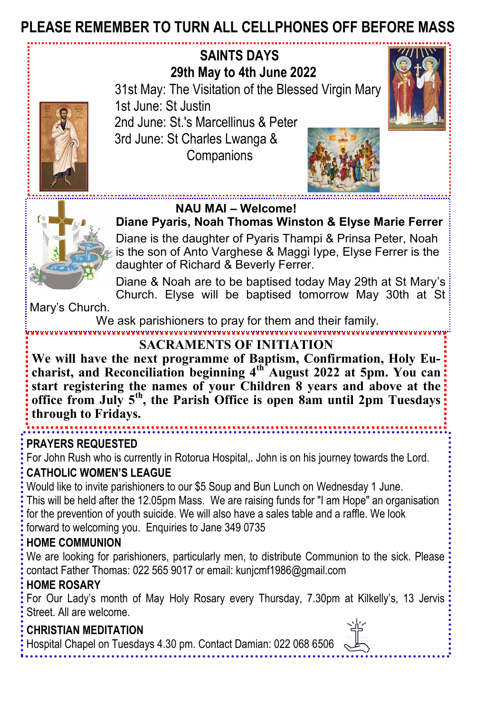# **PLEASE REMEMBER TO TURN ALL CELLPHONES OFF BEFORE MASS**



For John Rush who is currently in Rotorua Hospital,. John is on his journey towards the Lord. **CATHOLIC WOMEN'S LEAGUE**

Would like to invite parishioners to our \$5 Soup and Bun Lunch on Wednesday 1 June.

This will be held after the 12.05pm Mass. We are raising funds for "I am Hope" an organisation for the prevention of youth suicide. We will also have a sales table and a raffle. We look forward to welcoming you. Enquiries to Jane 349 0735

## **HOME COMMUNION**

We are looking for parishioners, particularly men, to distribute Communion to the sick. Please contact Father Thomas: 022 565 9017 or email: kunjcmf1986@gmail.com

## **HOME ROSARY**

For Our Lady's month of May Holy Rosary every Thursday, 7.30pm at Kilkelly's, 13 Jervis Street. All are welcome.

## **CHRISTIAN MEDITATION**

Hospital Chapel on Tuesdays 4.30 pm. Contact Damian: 022 068 6506